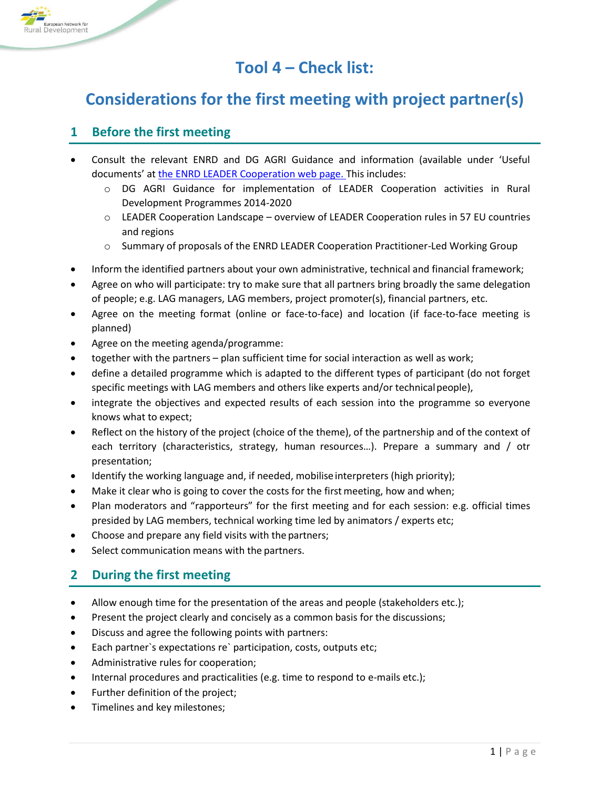

## **Tool 4 – Check list:**

# **Considerations for the first meeting with project partner(s)**

#### **1 Before the first meeting**

- Consult the relevant ENRD and DG AGRI Guidance and information (available under 'Useful documents' at [the ENRD LEADER Cooperation web page.](https://enrd.ec.europa.eu/leader-clld/leader-cooperation_en) This includes:
	- o DG AGRI Guidance for implementation of LEADER Cooperation activities in Rural Development Programmes 2014-2020
	- $\circ$  LEADER Cooperation Landscape overview of LEADER Cooperation rules in 57 EU countries and regions
	- o Summary of proposals of the ENRD LEADER Cooperation Practitioner-Led Working Group
- Inform the identified partners about your own administrative, technical and financial framework;
- Agree on who will participate: try to make sure that all partners bring broadly the same delegation of people; e.g. LAG managers, LAG members, project promoter(s), financial partners, etc.
- Agree on the meeting format (online or face-to-face) and location (if face-to-face meeting is planned)
- Agree on the meeting agenda/programme:
- together with the partners plan sufficient time for social interaction as well as work;
- define a detailed programme which is adapted to the different types of participant (do not forget specific meetings with LAG members and others like experts and/or technicalpeople),
- integrate the objectives and expected results of each session into the programme so everyone knows what to expect;
- Reflect on the history of the project (choice of the theme), of the partnership and of the context of each territory (characteristics, strategy, human resources…). Prepare a summary and / otr presentation;
- Identify the working language and, if needed, mobilise interpreters (high priority);
- Make it clear who is going to cover the costs for the first meeting, how and when;
- Plan moderators and "rapporteurs" for the first meeting and for each session: e.g. official times presided by LAG members, technical working time led by animators / experts etc;
- Choose and prepare any field visits with the partners;
- Select communication means with the partners.

#### **2 During the first meeting**

- Allow enough time for the presentation of the areas and people (stakeholders etc.);
- Present the project clearly and concisely as a common basis for the discussions;
- Discuss and agree the following points with partners:
- Each partner`s expectations re` participation, costs, outputs etc;
- Administrative rules for cooperation;
- Internal procedures and practicalities (e.g. time to respond to e-mails etc.);
- Further definition of the project;
- Timelines and key milestones;